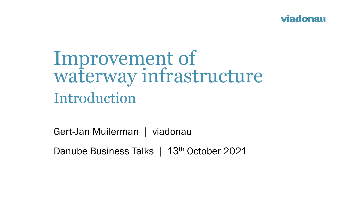# Improvement of waterway infrastructure Introduction

Gert-Jan Muilerman | viadonau

Danube Business Talks | 13<sup>th</sup> October 2021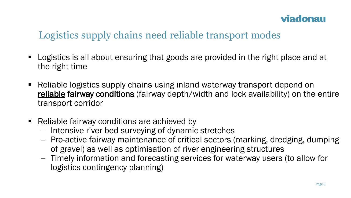# Logistics supply chains need reliable transport modes

- Logistics is all about ensuring that goods are provided in the right place and at the right time
- Reliable logistics supply chains using inland waterway transport depend on reliable fairway conditions (fairway depth/width and lock availability) on the entire transport corridor
- Reliable fairway conditions are achieved by
	- − Intensive river bed surveying of dynamic stretches
	- − Pro-active fairway maintenance of critical sectors (marking, dredging, dumping of gravel) as well as optimisation of river engineering structures
	- − Timely information and forecasting services for waterway users (to allow for logistics contingency planning)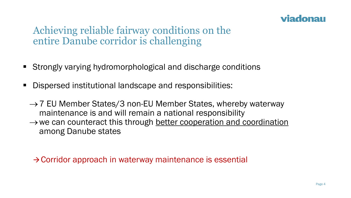# Achieving reliable fairway conditions on the entire Danube corridor is challenging

- Strongly varying hydromorphological and discharge conditions
- Dispersed institutional landscape and responsibilities:
	- $\rightarrow$  7 EU Member States/3 non-EU Member States, whereby waterway maintenance is and will remain a national responsibility
	- $\rightarrow$  we can counteract this through better cooperation and coordination among Danube states

 $\rightarrow$  Corridor approach in waterway maintenance is essential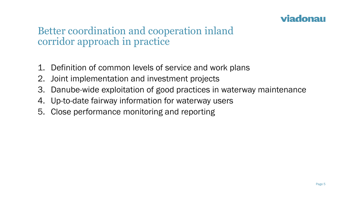# Better coordination and cooperation inland corridor approach in practice

- 1. Definition of common levels of service and work plans
- 2. Joint implementation and investment projects
- 3. Danube-wide exploitation of good practices in waterway maintenance
- 4. Up-to-date fairway information for waterway users
- 5. Close performance monitoring and reporting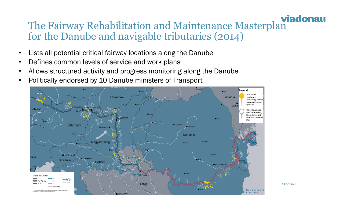# **Viadonau**<br>The Fairway Rehabilitation and Maintenance Masterplan for the Danube and navigable tributaries (2014)

- Lists all potential critical fairway locations along the Danube
- Defines common levels of service and work plans
- Allows structured activity and progress monitoring along the Danube
- Politically endorsed by 10 Danube ministers of Transport

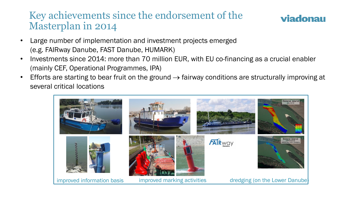## Key achievements since the endorsement of the Masterplan in 2014



- Large number of implementation and investment projects emerged (e.g. FAIRway Danube, FAST Danube, HUMARK)
- Investments since 2014: more than 70 million EUR, with EU co-financing as a crucial enabler (mainly CEF, Operational Programmes, IPA)
- Efforts are starting to bear fruit on the ground  $\rightarrow$  fairway conditions are structurally improving at several critical locations

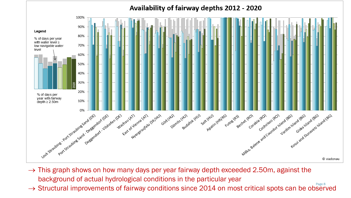

- $\rightarrow$  This graph shows on how many days per year fairway depth exceeded 2.50m, against the background of actual hydrological conditions in the particular year
- → Structural improvements of fairway conditions since 2014 on most critical spots can be observed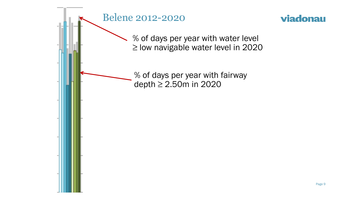